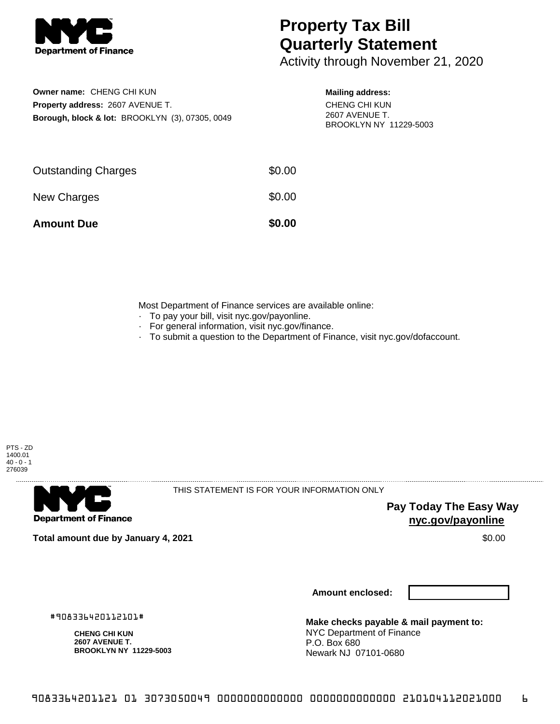

## **Property Tax Bill Quarterly Statement**

Activity through November 21, 2020

**Owner name:** CHENG CHI KUN **Property address:** 2607 AVENUE T. **Borough, block & lot:** BROOKLYN (3), 07305, 0049 **Mailing address:**

CHENG CHI KUN 2607 AVENUE T. BROOKLYN NY 11229-5003

| <b>Amount Due</b>          | \$0.00 |
|----------------------------|--------|
| New Charges                | \$0.00 |
| <b>Outstanding Charges</b> | \$0.00 |

Most Department of Finance services are available online:

- · To pay your bill, visit nyc.gov/payonline.
- For general information, visit nyc.gov/finance.
- · To submit a question to the Department of Finance, visit nyc.gov/dofaccount.





THIS STATEMENT IS FOR YOUR INFORMATION ONLY

**Pay Today The Easy Way nyc.gov/payonline**

**Total amount due by January 4, 2021** \$0.00

**Amount enclosed:**

#908336420112101#

**CHENG CHI KUN 2607 AVENUE T. BROOKLYN NY 11229-5003**

**Make checks payable & mail payment to:** NYC Department of Finance P.O. Box 680 Newark NJ 07101-0680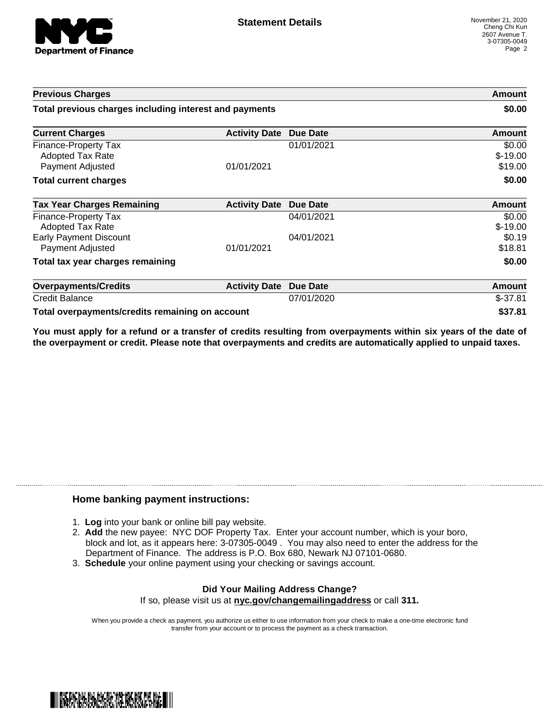

| <b>Previous Charges</b>                                             |                      |                 | Amount                         |
|---------------------------------------------------------------------|----------------------|-----------------|--------------------------------|
| Total previous charges including interest and payments              |                      |                 | \$0.00                         |
| <b>Current Charges</b>                                              | <b>Activity Date</b> | <b>Due Date</b> | Amount                         |
| Finance-Property Tax<br><b>Adopted Tax Rate</b><br>Payment Adjusted | 01/01/2021           | 01/01/2021      | \$0.00<br>$$-19.00$<br>\$19.00 |
| <b>Total current charges</b>                                        |                      |                 | \$0.00                         |
| <b>Tax Year Charges Remaining</b>                                   | <b>Activity Date</b> | <b>Due Date</b> | <b>Amount</b>                  |
| Finance-Property Tax<br>Adopted Tax Rate                            |                      | 04/01/2021      | \$0.00<br>$$-19.00$            |
| <b>Early Payment Discount</b><br>Payment Adjusted                   | 01/01/2021           | 04/01/2021      | \$0.19<br>\$18.81              |
| Total tax year charges remaining                                    |                      |                 | \$0.00                         |
| <b>Overpayments/Credits</b>                                         | <b>Activity Date</b> | <b>Due Date</b> | Amount                         |
| <b>Credit Balance</b>                                               |                      | 07/01/2020      | $$-37.81$                      |
| Total overpayments/credits remaining on account                     |                      |                 | \$37.81                        |

You must apply for a refund or a transfer of credits resulting from overpayments within six years of the date of **the overpayment or credit. Please note that overpayments and credits are automatically applied to unpaid taxes.**

## **Home banking payment instructions:**

- 1. **Log** into your bank or online bill pay website.
- 2. **Add** the new payee: NYC DOF Property Tax. Enter your account number, which is your boro, block and lot, as it appears here: 3-07305-0049 . You may also need to enter the address for the Department of Finance. The address is P.O. Box 680, Newark NJ 07101-0680.
- 3. **Schedule** your online payment using your checking or savings account.

## **Did Your Mailing Address Change?** If so, please visit us at **nyc.gov/changemailingaddress** or call **311.**

When you provide a check as payment, you authorize us either to use information from your check to make a one-time electronic fund transfer from your account or to process the payment as a check transaction.